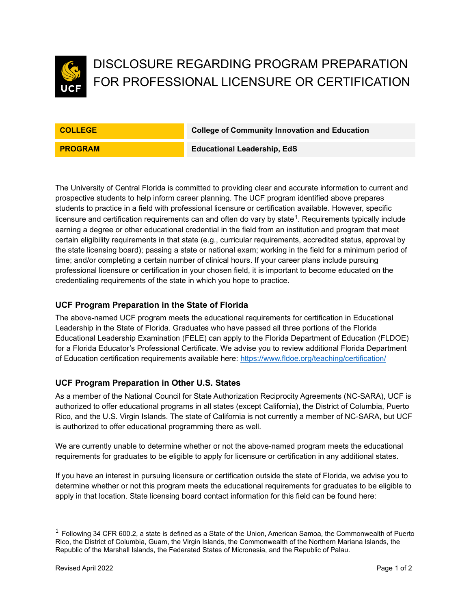

# DISCLOSURE REGARDING PROGRAM PREPARATION FOR PROFESSIONAL LICENSURE OR CERTIFICATION

**COLLEGE College of Community Innovation and Education**

**PROGRAM Educational Leadership, EdS** 

The University of Central Florida is committed to providing clear and accurate information to current and prospective students to help inform career planning. The UCF program identified above prepares students to practice in a field with professional licensure or certification available. However, specific licensure and certification requirements can and often do vary by state $^1$  $^1$ . Requirements typically include earning a degree or other educational credential in the field from an institution and program that meet certain eligibility requirements in that state (e.g., curricular requirements, accredited status, approval by the state licensing board); passing a state or national exam; working in the field for a minimum period of time; and/or completing a certain number of clinical hours. If your career plans include pursuing professional licensure or certification in your chosen field, it is important to become educated on the credentialing requirements of the state in which you hope to practice.

### **UCF Program Preparation in the State of Florida**

The above-named UCF program meets the educational requirements for certification in Educational Leadership in the State of Florida. Graduates who have passed all three portions of the Florida Educational Leadership Examination (FELE) can apply to the Florida Department of Education (FLDOE) for a Florida Educator's Professional Certificate. We advise you to review additional Florida Department of Education certification requirements available here:<https://www.fldoe.org/teaching/certification/>

### **UCF Program Preparation in Other U.S. States**

As a member of the National Council for State Authorization Reciprocity Agreements (NC-SARA), UCF is authorized to offer educational programs in all states (except California), the District of Columbia, Puerto Rico, and the U.S. Virgin Islands. The state of California is not currently a member of NC-SARA, but UCF is authorized to offer educational programming there as well.

We are currently unable to determine whether or not the above-named program meets the educational requirements for graduates to be eligible to apply for licensure or certification in any additional states.

If you have an interest in pursuing licensure or certification outside the state of Florida, we advise you to determine whether or not this program meets the educational requirements for graduates to be eligible to apply in that location. State licensing board contact information for this field can be found here:

<span id="page-0-0"></span> $1$  Following 34 CFR 600.2, a state is defined as a State of the Union, American Samoa, the Commonwealth of Puerto Rico, the District of Columbia, Guam, the Virgin Islands, the Commonwealth of the Northern Mariana Islands, the Republic of the Marshall Islands, the Federated States of Micronesia, and the Republic of Palau.